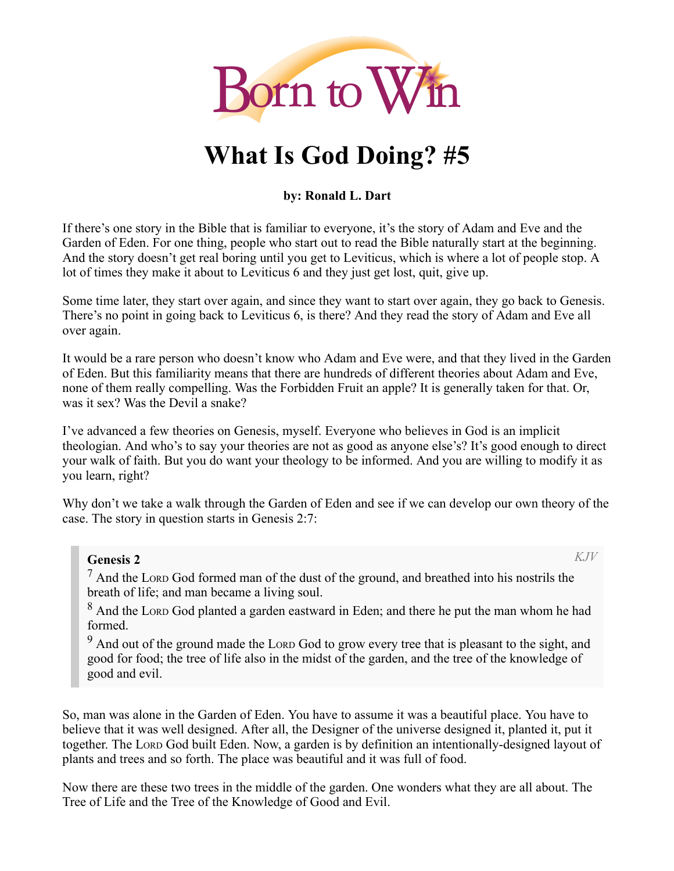

# What Is God Doing? #5

# by: Ronald L. Dart

If there's one story in the Bible that is familiar to everyone, it's the story of Adam and Eve and the Garden of Eden. For one thing, people who start out to read the Bible naturally start at the beginning. And the story doesn't get real boring until you get to Leviticus, which is where a lot of people stop. A lot of times they make it about to Leviticus 6 and they just get lost, quit, give up.

Some time later, they start over again, and since they want to start over again, they go back to Genesis. There's no point in going back to Leviticus 6, is there? And they read the story of Adam and Eve all over again.

It would be a rare person who doesn't know who Adam and Eve were, and that they lived in the Garden of Eden. But this familiarity means that there are hundreds of different theories about Adam and Eve, none of them really compelling. Was the Forbidden Fruit an apple? It is generally taken for that. Or, was it sex? Was the Devil a snake?

I've advanced a few theories on Genesis, myself. Everyone who believes in God is an implicit theologian. And who's to say your theories are not as good as anyone else's? It's good enough to direct your walk of faith. But you do want your theology to be informed. And you are willing to modify it as you learn, right?

Why don't we take a walk through the Garden of Eden and see if we can develop our own theory of the case. The story in question starts in Genesis 2:7:

#### Genesis 2

*KJV*

 $<sup>7</sup>$  And the LORD God formed man of the dust of the ground, and breathed into his nostrils the</sup> breath of life; and man became a living soul.

<sup>8</sup> And the LORD God planted a garden eastward in Eden; and there he put the man whom he had formed.

 $9$  And out of the ground made the LORD God to grow every tree that is pleasant to the sight, and good for food; the tree of life also in the midst of the garden, and the tree of the knowledge of good and evil.

So, man was alone in the Garden of Eden. You have to assume it was a beautiful place. You have to believe that it was well designed. After all, the Designer of the universe designed it, planted it, put it together. The LORD God built Eden. Now, a garden is by definition an intentionally-designed layout of plants and trees and so forth. The place was beautiful and it was full of food.

Now there are these two trees in the middle of the garden. One wonders what they are all about. The Tree of Life and the Tree of the Knowledge of Good and Evil.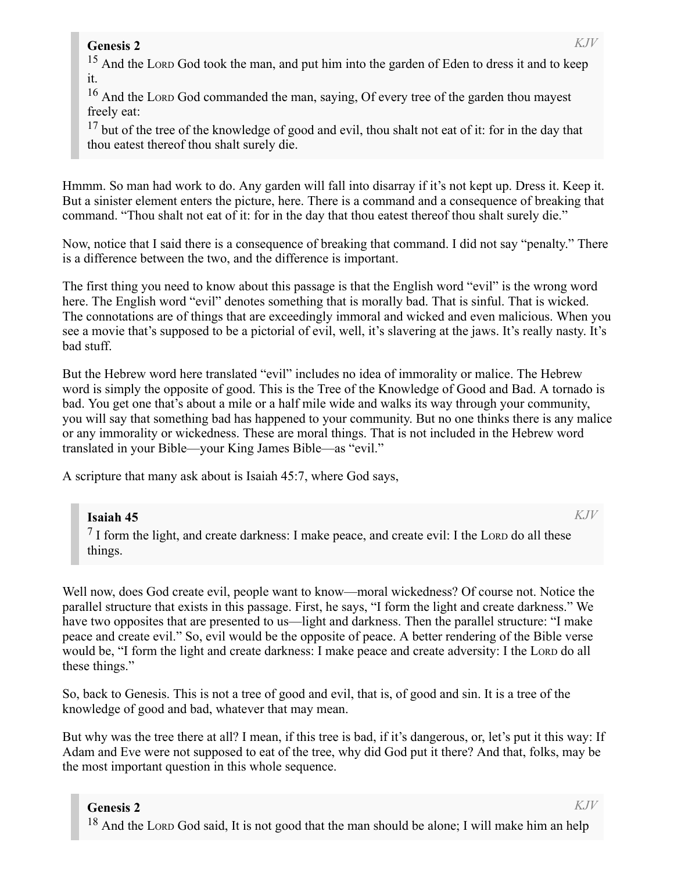# Genesis 2

<sup>15</sup> And the LORD God took the man, and put him into the garden of Eden to dress it and to keep it.

<sup>16</sup> And the LORD God commanded the man, saying, Of every tree of the garden thou mayest freely eat:

<sup>17</sup> but of the tree of the knowledge of good and evil, thou shalt not eat of it: for in the day that thou eatest thereof thou shalt surely die.

Hmmm. So man had work to do. Any garden will fall into disarray if it's not kept up. Dress it. Keep it. But a sinister element enters the picture, here. There is a command and a consequence of breaking that command. "Thou shalt not eat of it: for in the day that thou eatest thereof thou shalt surely die."

Now, notice that I said there is a consequence of breaking that command. I did not say "penalty." There is a difference between the two, and the difference is important.

The first thing you need to know about this passage is that the English word "evil" is the wrong word here. The English word "evil" denotes something that is morally bad. That is sinful. That is wicked. The connotations are of things that are exceedingly immoral and wicked and even malicious. When you see a movie that's supposed to be a pictorial of evil, well, it's slavering at the jaws. It's really nasty. It's bad stuff.

But the Hebrew word here translated "evil" includes no idea of immorality or malice. The Hebrew word is simply the opposite of good. This is the Tree of the Knowledge of Good and Bad. A tornado is bad. You get one that's about a mile or a half mile wide and walks its way through your community, you will say that something bad has happened to your community. But no one thinks there is any malice or any immorality or wickedness. These are moral things. That is not included in the Hebrew word translated in your Bible—your King James Bible—as "evil."

A scripture that many ask about is Isaiah 45:7, where God says,

Isaiah 45

*KJV*

*KJV*

 $<sup>7</sup>$  I form the light, and create darkness: I make peace, and create evil: I the LORD do all these</sup> things.

Well now, does God create evil, people want to know—moral wickedness? Of course not. Notice the parallel structure that exists in this passage. First, he says, "I form the light and create darkness." We have two opposites that are presented to us—light and darkness. Then the parallel structure: "I make peace and create evil." So, evil would be the opposite of peace. A better rendering of the Bible verse would be, "I form the light and create darkness: I make peace and create adversity: I the LORD do all these things."

So, back to Genesis. This is not a tree of good and evil, that is, of good and sin. It is a tree of the knowledge of good and bad, whatever that may mean.

But why was the tree there at all? I mean, if this tree is bad, if it's dangerous, or, let's put it this way: If Adam and Eve were not supposed to eat of the tree, why did God put it there? And that, folks, may be the most important question in this whole sequence.

# Genesis 2

<sup>18</sup> And the LORD God said, It is not good that the man should be alone; I will make him an help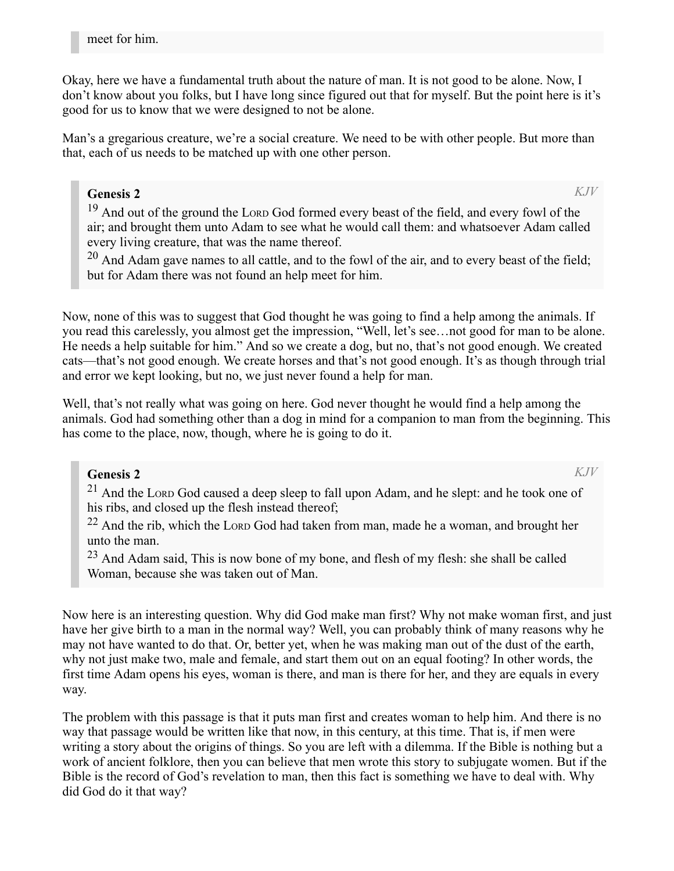Okay, here we have a fundamental truth about the nature of man. It is not good to be alone. Now, I don't know about you folks, but I have long since figured out that for myself. But the point here is it's good for us to know that we were designed to not be alone.

Man's a gregarious creature, we're a social creature. We need to be with other people. But more than that, each of us needs to be matched up with one other person.

# Genesis 2

*KJV*

<sup>19</sup> And out of the ground the LORD God formed every beast of the field, and every fowl of the air; and brought them unto Adam to see what he would call them: and whatsoever Adam called every living creature, that was the name thereof.

 $20$  And Adam gave names to all cattle, and to the fowl of the air, and to every beast of the field; but for Adam there was not found an help meet for him.

Now, none of this was to suggest that God thought he was going to find a help among the animals. If you read this carelessly, you almost get the impression, "Well, let's see…not good for man to be alone. He needs a help suitable for him." And so we create a dog, but no, that's not good enough. We created cats—that's not good enough. We create horses and that's not good enough. It's as though through trial and error we kept looking, but no, we just never found a help for man.

Well, that's not really what was going on here. God never thought he would find a help among the animals. God had something other than a dog in mind for a companion to man from the beginning. This has come to the place, now, though, where he is going to do it.

#### Genesis 2

*KJV*

<sup>21</sup> And the LORD God caused a deep sleep to fall upon Adam, and he slept: and he took one of his ribs, and closed up the flesh instead thereof;

 $22$  And the rib, which the LORD God had taken from man, made he a woman, and brought her unto the man.

<sup>23</sup> And Adam said, This is now bone of my bone, and flesh of my flesh: she shall be called Woman, because she was taken out of Man.

Now here is an interesting question. Why did God make man first? Why not make woman first, and just have her give birth to a man in the normal way? Well, you can probably think of many reasons why he may not have wanted to do that. Or, better yet, when he was making man out of the dust of the earth, why not just make two, male and female, and start them out on an equal footing? In other words, the first time Adam opens his eyes, woman is there, and man is there for her, and they are equals in every way.

The problem with this passage is that it puts man first and creates woman to help him. And there is no way that passage would be written like that now, in this century, at this time. That is, if men were writing a story about the origins of things. So you are left with a dilemma. If the Bible is nothing but a work of ancient folklore, then you can believe that men wrote this story to subjugate women. But if the Bible is the record of God's revelation to man, then this fact is something we have to deal with. Why did God do it that way?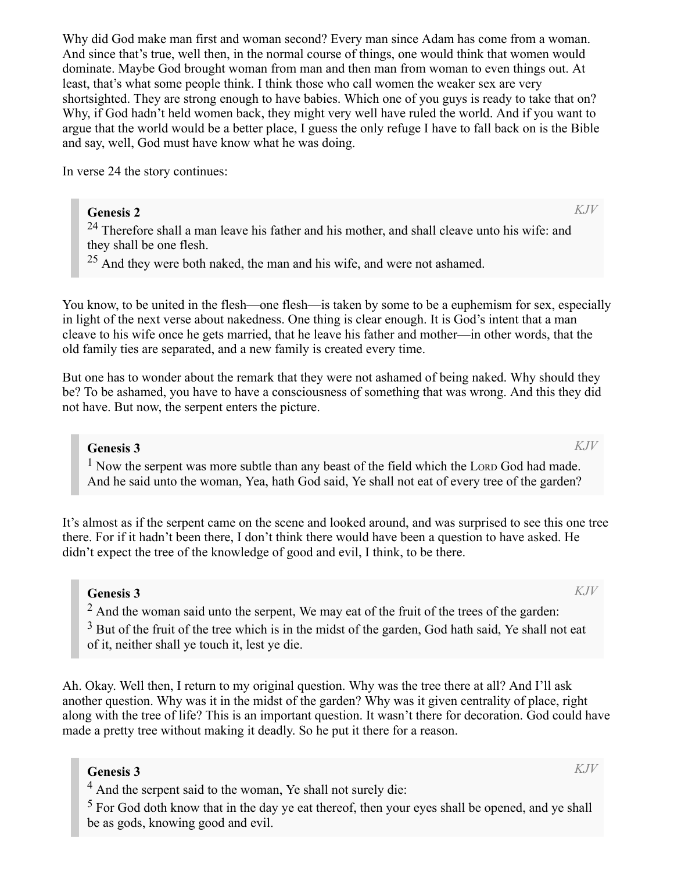Why did God make man first and woman second? Every man since Adam has come from a woman. And since that's true, well then, in the normal course of things, one would think that women would dominate. Maybe God brought woman from man and then man from woman to even things out. At least, that's what some people think. I think those who call women the weaker sex are very shortsighted. They are strong enough to have babies. Which one of you guys is ready to take that on? Why, if God hadn't held women back, they might very well have ruled the world. And if you want to argue that the world would be a better place, I guess the only refuge I have to fall back on is the Bible and say, well, God must have know what he was doing.

In verse 24 the story continues:

Genesis 2

<sup>24</sup> Therefore shall a man leave his father and his mother, and shall cleave unto his wife: and they shall be one flesh.

<sup>25</sup> And they were both naked, the man and his wife, and were not ashamed.

You know, to be united in the flesh—one flesh—is taken by some to be a euphemism for sex, especially in light of the next verse about nakedness. One thing is clear enough. It is God's intent that a man cleave to his wife once he gets married, that he leave his father and mother—in other words, that the old family ties are separated, and a new family is created every time.

But one has to wonder about the remark that they were not ashamed of being naked. Why should they be? To be ashamed, you have to have a consciousness of something that was wrong. And this they did not have. But now, the serpent enters the picture.

#### Genesis 3

<sup>1</sup> Now the serpent was more subtle than any beast of the field which the LORD God had made. And he said unto the woman, Yea, hath God said, Ye shall not eat of every tree of the garden?

It's almost as if the serpent came on the scene and looked around, and was surprised to see this one tree there. For if it hadn't been there, I don't think there would have been a question to have asked. He didn't expect the tree of the knowledge of good and evil, I think, to be there.

#### Genesis 3

<sup>2</sup> And the woman said unto the serpent, We may eat of the fruit of the trees of the garden: <sup>3</sup> But of the fruit of the tree which is in the midst of the garden, God hath said, Ye shall not eat

of it, neither shall ye touch it, lest ye die.

Ah. Okay. Well then, I return to my original question. Why was the tree there at all? And I'll ask another question. Why was it in the midst of the garden? Why was it given centrality of place, right along with the tree of life? This is an important question. It wasn't there for decoration. God could have made a pretty tree without making it deadly. So he put it there for a reason.

# Genesis 3

<sup>4</sup> And the serpent said to the woman, Ye shall not surely die:

 $<sup>5</sup>$  For God doth know that in the day ye eat thereof, then your eyes shall be opened, and ye shall</sup> be as gods, knowing good and evil.

*KJV*

*KJV*

*KJV*

*KJV*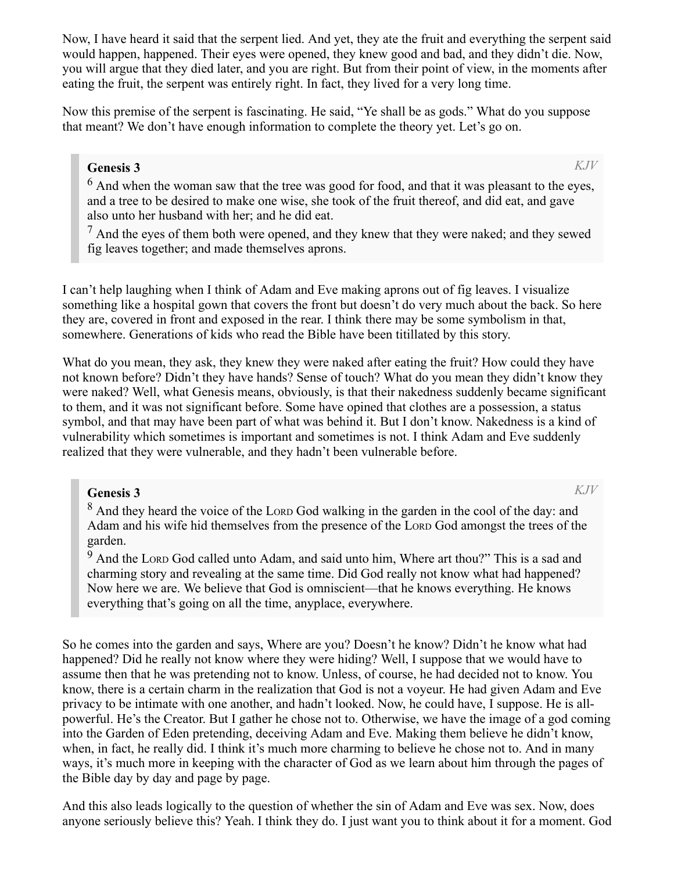Now, I have heard it said that the serpent lied. And yet, they ate the fruit and everything the serpent said would happen, happened. Their eyes were opened, they knew good and bad, and they didn't die. Now, you will argue that they died later, and you are right. But from their point of view, in the moments after eating the fruit, the serpent was entirely right. In fact, they lived for a very long time.

Now this premise of the serpent is fascinating. He said, "Ye shall be as gods." What do you suppose that meant? We don't have enough information to complete the theory yet. Let's go on.

#### Genesis 3

 $<sup>6</sup>$  And when the woman saw that the tree was good for food, and that it was pleasant to the eyes,</sup> and a tree to be desired to make one wise, she took of the fruit thereof, and did eat, and gave also unto her husband with her; and he did eat.

 $<sup>7</sup>$  And the eyes of them both were opened, and they knew that they were naked; and they sewed</sup> fig leaves together; and made themselves aprons.

I can't help laughing when I think of Adam and Eve making aprons out of fig leaves. I visualize something like a hospital gown that covers the front but doesn't do very much about the back. So here they are, covered in front and exposed in the rear. I think there may be some symbolism in that, somewhere. Generations of kids who read the Bible have been titillated by this story.

What do you mean, they ask, they knew they were naked after eating the fruit? How could they have not known before? Didn't they have hands? Sense of touch? What do you mean they didn't know they were naked? Well, what Genesis means, obviously, is that their nakedness suddenly became significant to them, and it was not significant before. Some have opined that clothes are a possession, a status symbol, and that may have been part of what was behind it. But I don't know. Nakedness is a kind of vulnerability which sometimes is important and sometimes is not. I think Adam and Eve suddenly realized that they were vulnerable, and they hadn't been vulnerable before.

# Genesis 3

*KJV*

*KJV*

<sup>8</sup> And they heard the voice of the LORD God walking in the garden in the cool of the day: and Adam and his wife hid themselves from the presence of the LORD God amongst the trees of the garden.

<sup>9</sup> And the LORD God called unto Adam, and said unto him, Where art thou?" This is a sad and charming story and revealing at the same time. Did God really not know what had happened? Now here we are. We believe that God is omniscient—that he knows everything. He knows everything that's going on all the time, anyplace, everywhere.

So he comes into the garden and says, Where are you? Doesn't he know? Didn't he know what had happened? Did he really not know where they were hiding? Well, I suppose that we would have to assume then that he was pretending not to know. Unless, of course, he had decided not to know. You know, there is a certain charm in the realization that God is not a voyeur. He had given Adam and Eve privacy to be intimate with one another, and hadn't looked. Now, he could have, I suppose. He is allpowerful. He's the Creator. But I gather he chose not to. Otherwise, we have the image of a god coming into the Garden of Eden pretending, deceiving Adam and Eve. Making them believe he didn't know, when, in fact, he really did. I think it's much more charming to believe he chose not to. And in many ways, it's much more in keeping with the character of God as we learn about him through the pages of the Bible day by day and page by page.

And this also leads logically to the question of whether the sin of Adam and Eve was sex. Now, does anyone seriously believe this? Yeah. I think they do. I just want you to think about it for a moment. God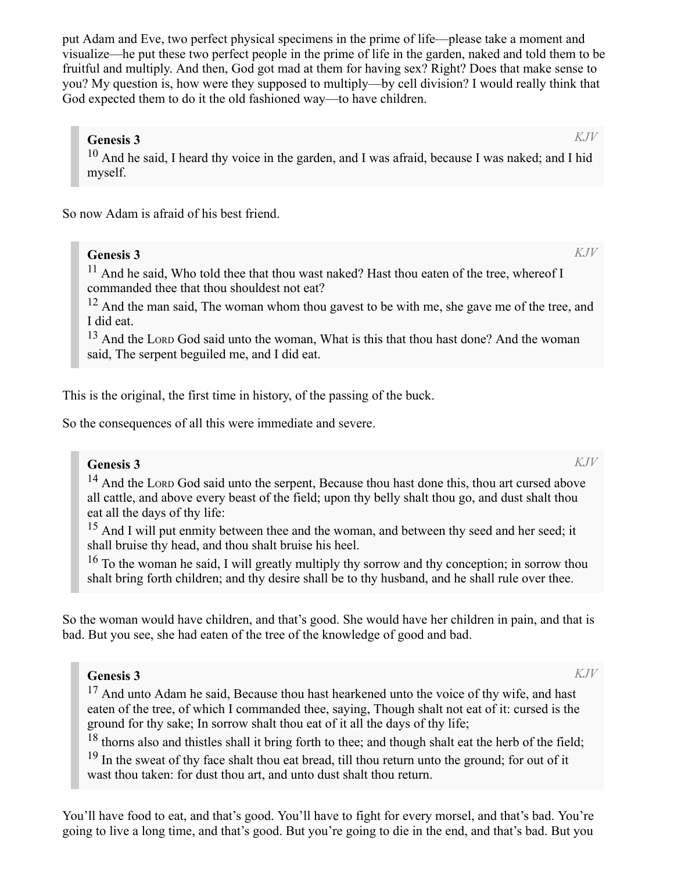put Adam and Eve, two perfect physical specimens in the prime of life—please take a moment and visualize—he put these two perfect people in the prime of life in the garden, naked and told them to be fruitful and multiply. And then, God got mad at them for having sex? Right? Does that make sense to you? My question is, how were they supposed to multiply—by cell division? I would really think that God expected them to do it the old fashioned way—to have children.

# Genesis 3

<sup>10</sup> And he said, I heard thy voice in the garden, and I was afraid, because I was naked; and I hid myself.

So now Adam is afraid of his best friend.

# Genesis 3

<sup>11</sup> And he said, Who told thee that thou wast naked? Hast thou eaten of the tree, whereof I commanded thee that thou shouldest not eat?

<sup>12</sup> And the man said, The woman whom thou gavest to be with me, she gave me of the tree, and I did eat.

<sup>13</sup> And the LORD God said unto the woman, What is this that thou hast done? And the woman said, The serpent beguiled me, and I did eat.

This is the original, the first time in history, of the passing of the buck.

So the consequences of all this were immediate and severe.

#### Genesis 3

<sup>14</sup> And the LORD God said unto the serpent, Because thou hast done this, thou art cursed above all cattle, and above every beast of the field; upon thy belly shalt thou go, and dust shalt thou eat all the days of thy life:

<sup>15</sup> And I will put enmity between thee and the woman, and between thy seed and her seed; it shall bruise thy head, and thou shalt bruise his heel.

<sup>16</sup> To the woman he said, I will greatly multiply thy sorrow and thy conception; in sorrow thou shalt bring forth children; and thy desire shall be to thy husband, and he shall rule over thee.

So the woman would have children, and that's good. She would have her children in pain, and that is bad. But you see, she had eaten of the tree of the knowledge of good and bad.

#### Genesis 3

<sup>17</sup> And unto Adam he said, Because thou hast hearkened unto the voice of thy wife, and hast eaten of the tree, of which I commanded thee, saying, Though shalt not eat of it: cursed is the ground for thy sake; In sorrow shalt thou eat of it all the days of thy life;

<sup>18</sup> thorns also and thistles shall it bring forth to thee; and though shalt eat the herb of the field;

<sup>19</sup> In the sweat of thy face shalt thou eat bread, till thou return unto the ground; for out of it wast thou taken: for dust thou art, and unto dust shalt thou return.

You'll have food to eat, and that's good. You'll have to fight for every morsel, and that's bad. You're going to live a long time, and that's good. But you're going to die in the end, and that's bad. But you

*KJV*

*KJV*

*KJV*

*KJV*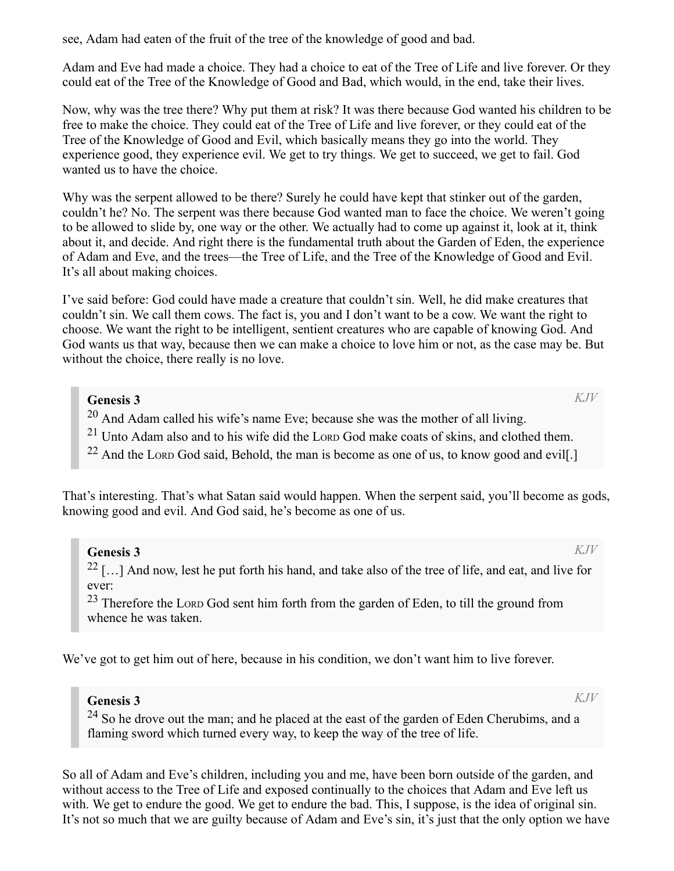see, Adam had eaten of the fruit of the tree of the knowledge of good and bad.

Adam and Eve had made a choice. They had a choice to eat of the Tree of Life and live forever. Or they could eat of the Tree of the Knowledge of Good and Bad, which would, in the end, take their lives.

Now, why was the tree there? Why put them at risk? It was there because God wanted his children to be free to make the choice. They could eat of the Tree of Life and live forever, or they could eat of the Tree of the Knowledge of Good and Evil, which basically means they go into the world. They experience good, they experience evil. We get to try things. We get to succeed, we get to fail. God wanted us to have the choice.

Why was the serpent allowed to be there? Surely he could have kept that stinker out of the garden, couldn't he? No. The serpent was there because God wanted man to face the choice. We weren't going to be allowed to slide by, one way or the other. We actually had to come up against it, look at it, think about it, and decide. And right there is the fundamental truth about the Garden of Eden, the experience of Adam and Eve, and the trees—the Tree of Life, and the Tree of the Knowledge of Good and Evil. It's all about making choices.

I've said before: God could have made a creature that couldn't sin. Well, he did make creatures that couldn't sin. We call them cows. The fact is, you and I don't want to be a cow. We want the right to choose. We want the right to be intelligent, sentient creatures who are capable of knowing God. And God wants us that way, because then we can make a choice to love him or not, as the case may be. But without the choice, there really is no love.

#### Genesis 3

*KJV*

- $20$  And Adam called his wife's name Eve; because she was the mother of all living.
- <sup>21</sup> Unto Adam also and to his wife did the LORD God make coats of skins, and clothed them.
- $22$  And the LORD God said, Behold, the man is become as one of us, to know good and evil[.]

That's interesting. That's what Satan said would happen. When the serpent said, you'll become as gods, knowing good and evil. And God said, he's become as one of us.

#### Genesis 3

 $22$  [...] And now, lest he put forth his hand, and take also of the tree of life, and eat, and live for ever:

<sup>23</sup> Therefore the LORD God sent him forth from the garden of Eden, to till the ground from whence he was taken.

We've got to get him out of here, because in his condition, we don't want him to live forever.

#### Genesis 3

 $24$  So he drove out the man; and he placed at the east of the garden of Eden Cherubims, and a flaming sword which turned every way, to keep the way of the tree of life.

So all of Adam and Eve's children, including you and me, have been born outside of the garden, and without access to the Tree of Life and exposed continually to the choices that Adam and Eve left us with. We get to endure the good. We get to endure the bad. This, I suppose, is the idea of original sin. It's not so much that we are guilty because of Adam and Eve's sin, it's just that the only option we have

*KJV*

*KJV*